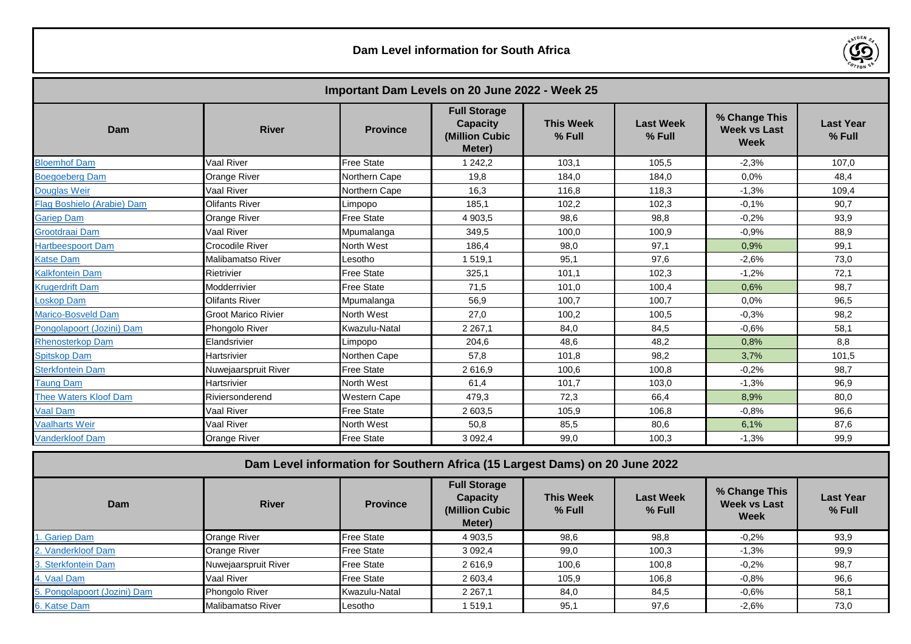

| Important Dam Levels on 20 June 2022 - Week 25 |                            |                     |                                                                    |                            |                            |                                                     |                            |
|------------------------------------------------|----------------------------|---------------------|--------------------------------------------------------------------|----------------------------|----------------------------|-----------------------------------------------------|----------------------------|
| Dam                                            | <b>River</b>               | <b>Province</b>     | <b>Full Storage</b><br><b>Capacity</b><br>(Million Cubic<br>Meter) | <b>This Week</b><br>% Full | <b>Last Week</b><br>% Full | % Change This<br><b>Week vs Last</b><br><b>Week</b> | <b>Last Year</b><br>% Full |
| <b>Bloemhof Dam</b>                            | Vaal River                 | <b>Free State</b>   | 1 242.2                                                            | 103.1                      | 105.5                      | $-2.3%$                                             | 107.0                      |
| <b>Boegoeberg Dam</b>                          | Orange River               | Northern Cape       | 19.8                                                               | 184.0                      | 184,0                      | 0.0%                                                | 48.4                       |
| <b>Douglas Weir</b>                            | Vaal River                 | Northern Cape       | 16.3                                                               | 116.8                      | 118.3                      | $-1.3%$                                             | 109.4                      |
| Flag Boshielo (Arabie) Dam                     | <b>Olifants River</b>      | Limpopo             | 185.1                                                              | 102,2                      | 102,3                      | $-0.1%$                                             | 90,7                       |
| <b>Gariep Dam</b>                              | Orange River               | <b>Free State</b>   | 4 903.5                                                            | 98.6                       | 98.8                       | $-0.2%$                                             | 93.9                       |
| Grootdraai Dam                                 | Vaal River                 | Mpumalanga          | 349,5                                                              | 100,0                      | 100,9                      | $-0.9%$                                             | 88,9                       |
| Hartbeespoort Dam                              | Crocodile River            | North West          | 186,4                                                              | 98,0                       | 97,1                       | 0,9%                                                | 99,1                       |
| <b>Katse Dam</b>                               | Malibamatso River          | Lesotho             | 1519,1                                                             | 95,1                       | 97,6                       | $-2.6%$                                             | 73,0                       |
| Kalkfontein Dam                                | Rietrivier                 | <b>Free State</b>   | 325,1                                                              | 101.1                      | 102,3                      | $-1,2%$                                             | 72,1                       |
| <b>Krugerdrift Dam</b>                         | Modderrivier               | <b>Free State</b>   | 71,5                                                               | 101.0                      | 100,4                      | 0,6%                                                | 98.7                       |
| Loskop Dam                                     | <b>Olifants River</b>      | Mpumalanga          | 56.9                                                               | 100.7                      | 100.7                      | 0.0%                                                | 96.5                       |
| <b>Marico-Bosveld Dam</b>                      | <b>Groot Marico Rivier</b> | North West          | 27.0                                                               | 100.2                      | 100.5                      | $-0.3%$                                             | 98.2                       |
| Pongolapoort (Jozini) Dam                      | <b>Phongolo River</b>      | Kwazulu-Natal       | 2 2 6 7, 1                                                         | 84,0                       | 84,5                       | $-0.6%$                                             | 58,1                       |
| <b>Rhenosterkop Dam</b>                        | Elandsrivier               | Limpopo             | 204.6                                                              | 48.6                       | 48,2                       | 0,8%                                                | 8.8                        |
| <b>Spitskop Dam</b>                            | Hartsrivier                | Northen Cape        | 57.8                                                               | 101.8                      | 98,2                       | 3,7%                                                | 101.5                      |
| <b>Sterkfontein Dam</b>                        | Nuwejaarspruit River       | <b>Free State</b>   | 2616.9                                                             | 100,6                      | 100,8                      | $-0.2%$                                             | 98.7                       |
| <b>Taung Dam</b>                               | Hartsrivier                | North West          | 61.4                                                               | 101.7                      | 103.0                      | $-1.3%$                                             | 96,9                       |
| <b>Thee Waters Kloof Dam</b>                   | Riviersonderend            | <b>Western Cape</b> | 479.3                                                              | 72,3                       | 66,4                       | 8,9%                                                | 80,0                       |
| Vaal Dam                                       | Vaal River                 | <b>Free State</b>   | 2 603,5                                                            | 105,9                      | 106,8                      | $-0.8%$                                             | 96,6                       |
| <b>Vaalharts Weir</b>                          | Vaal River                 | North West          | 50,8                                                               | 85,5                       | 80,6                       | 6,1%                                                | 87,6                       |
| <b>Vanderkloof Dam</b>                         | <b>Orange River</b>        | <b>Free State</b>   | 3 0 9 2 , 4                                                        | 99,0                       | 100,3                      | $-1,3%$                                             | 99,9                       |

| Dam Level information for Southern Africa (15 Largest Dams) on 20 June 2022 |                      |                   |                                                                    |                            |                              |                                              |                              |
|-----------------------------------------------------------------------------|----------------------|-------------------|--------------------------------------------------------------------|----------------------------|------------------------------|----------------------------------------------|------------------------------|
| Dam                                                                         | <b>River</b>         | <b>Province</b>   | <b>Full Storage</b><br><b>Capacity</b><br>(Million Cubic<br>Meter) | <b>This Week</b><br>% Full | <b>Last Week</b><br>$%$ Full | % Change This<br><b>Week vs Last</b><br>Week | <b>Last Year</b><br>$%$ Full |
| . Gariep Dam                                                                | Orange River         | <b>Free State</b> | 4 903.5                                                            | 98,6                       | 98,8                         | $-0.2%$                                      | 93,9                         |
| 2. Vanderkloof Dam                                                          | Orange River         | <b>Free State</b> | 3 0 9 2.4                                                          | 99,0                       | 100,3                        | $-1,3%$                                      | 99,9                         |
| 3. Sterkfontein Dam                                                         | Nuwejaarspruit River | <b>Free State</b> | 2616,9                                                             | 100,6                      | 100,8                        | $-0.2\%$                                     | 98,7                         |
| 4. Vaal Dam                                                                 | <b>Vaal River</b>    | <b>Free State</b> | 2 603,4                                                            | 105,9                      | 106,8                        | $-0.8%$                                      | 96,6                         |
| 5. Pongolapoort (Jozini) Dam                                                | Phongolo River       | Kwazulu-Natal     | 2 2 6 7 1                                                          | 84,0                       | 84,5                         | $-0.6\%$                                     | 58,1                         |
| 6. Katse Dam                                                                | Malibamatso River    | Lesotho           | 1 519,1                                                            | 95,1                       | 97,6                         | $-2.6%$                                      | 73,0                         |